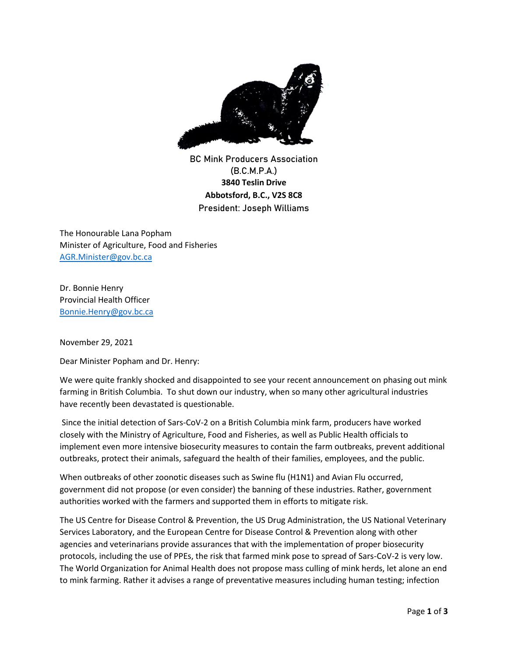

**BC Mink Producers Association (B.C.M.P.A.) 3840 Teslin Drive Abbotsford, B.C., V2S 8C8 President: Joseph Williams**

The Honourable Lana Popham Minister of Agriculture, Food and Fisheries [AGR.Minister@gov.bc.ca](mailto:AGR.Minister@gov.bc.ca)

Dr. Bonnie Henry Provincial Health Officer [Bonnie.Henry@gov.bc.ca](mailto:Bonnie.Henry@gov.bc.ca)

November 29, 2021

Dear Minister Popham and Dr. Henry:

We were quite frankly shocked and disappointed to see your recent announcement on phasing out mink farming in British Columbia. To shut down our industry, when so many other agricultural industries have recently been devastated is questionable.

Since the initial detection of Sars-CoV-2 on a British Columbia mink farm, producers have worked closely with the Ministry of Agriculture, Food and Fisheries, as well as Public Health officials to implement even more intensive biosecurity measures to contain the farm outbreaks, prevent additional outbreaks, protect their animals, safeguard the health of their families, employees, and the public.

When outbreaks of other zoonotic diseases such as Swine flu (H1N1) and Avian Flu occurred, government did not propose (or even consider) the banning of these industries. Rather, government authorities worked with the farmers and supported them in efforts to mitigate risk.

The US Centre for Disease Control & Prevention, the US Drug Administration, the US National Veterinary Services Laboratory, and the European Centre for Disease Control & Prevention along with other agencies and veterinarians provide assurances that with the implementation of proper biosecurity protocols, including the use of PPEs, the risk that farmed mink pose to spread of Sars-CoV-2 is very low. The World Organization for Animal Health does not propose mass culling of mink herds, let alone an end to mink farming. Rather it advises a range of preventative measures including human testing; infection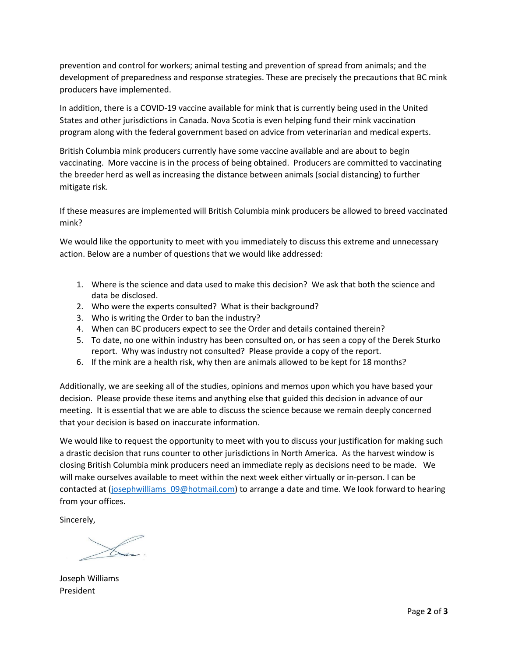prevention and control for workers; animal testing and prevention of spread from animals; and the development of preparedness and response strategies. These are precisely the precautions that BC mink producers have implemented.

In addition, there is a COVID-19 vaccine available for mink that is currently being used in the United States and other jurisdictions in Canada. Nova Scotia is even helping fund their mink vaccination program along with the federal government based on advice from veterinarian and medical experts.

British Columbia mink producers currently have some vaccine available and are about to begin vaccinating. More vaccine is in the process of being obtained. Producers are committed to vaccinating the breeder herd as well as increasing the distance between animals (social distancing) to further mitigate risk.

If these measures are implemented will British Columbia mink producers be allowed to breed vaccinated mink?

We would like the opportunity to meet with you immediately to discuss this extreme and unnecessary action. Below are a number of questions that we would like addressed:

- 1. Where is the science and data used to make this decision? We ask that both the science and data be disclosed.
- 2. Who were the experts consulted? What is their background?
- 3. Who is writing the Order to ban the industry?
- 4. When can BC producers expect to see the Order and details contained therein?
- 5. To date, no one within industry has been consulted on, or has seen a copy of the Derek Sturko report. Why was industry not consulted? Please provide a copy of the report.
- 6. If the mink are a health risk, why then are animals allowed to be kept for 18 months?

Additionally, we are seeking all of the studies, opinions and memos upon which you have based your decision. Please provide these items and anything else that guided this decision in advance of our meeting. It is essential that we are able to discuss the science because we remain deeply concerned that your decision is based on inaccurate information.

We would like to request the opportunity to meet with you to discuss your justification for making such a drastic decision that runs counter to other jurisdictions in North America. As the harvest window is closing British Columbia mink producers need an immediate reply as decisions need to be made. We will make ourselves available to meet within the next week either virtually or in-person. I can be contacted at (josephwilliams 09@hotmail.com) to arrange a date and time. We look forward to hearing from your offices.

Sincerely,

Joseph Williams President